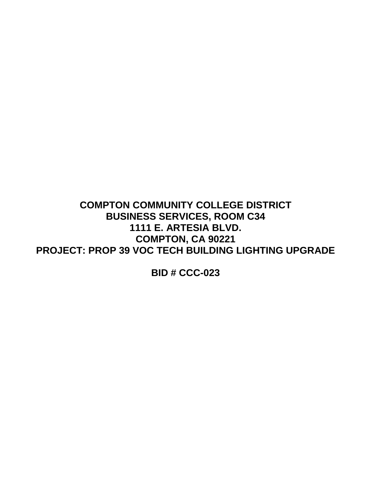**COMPTON COMMUNITY COLLEGE DISTRICT BUSINESS SERVICES, ROOM C34 1111 E. ARTESIA BLVD. COMPTON, CA 90221 PROJECT: PROP 39 VOC TECH BUILDING LIGHTING UPGRADE**

**BID # CCC-023**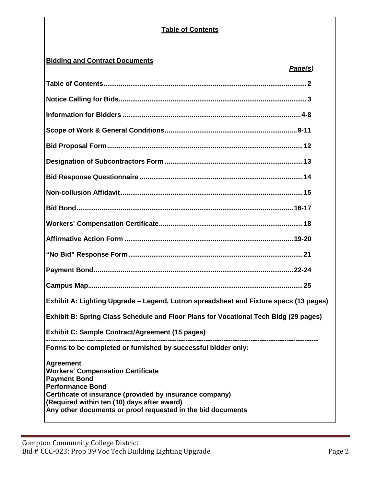# **Table of Contents**

# **Bidding and Contract Documents**

| <u>Page(s)</u>                                                                                                                                                                                                                                                                           |  |
|------------------------------------------------------------------------------------------------------------------------------------------------------------------------------------------------------------------------------------------------------------------------------------------|--|
|                                                                                                                                                                                                                                                                                          |  |
|                                                                                                                                                                                                                                                                                          |  |
|                                                                                                                                                                                                                                                                                          |  |
|                                                                                                                                                                                                                                                                                          |  |
|                                                                                                                                                                                                                                                                                          |  |
|                                                                                                                                                                                                                                                                                          |  |
|                                                                                                                                                                                                                                                                                          |  |
|                                                                                                                                                                                                                                                                                          |  |
|                                                                                                                                                                                                                                                                                          |  |
|                                                                                                                                                                                                                                                                                          |  |
|                                                                                                                                                                                                                                                                                          |  |
|                                                                                                                                                                                                                                                                                          |  |
|                                                                                                                                                                                                                                                                                          |  |
|                                                                                                                                                                                                                                                                                          |  |
| Exhibit A: Lighting Upgrade - Legend, Lutron spreadsheet and Fixture specs (13 pages)                                                                                                                                                                                                    |  |
| Exhibit B: Spring Class Schedule and Floor Plans for Vocational Tech Bldg (29 pages)                                                                                                                                                                                                     |  |
| Exhibit C: Sample Contract/Agreement (15 pages)                                                                                                                                                                                                                                          |  |
| Forms to be completed or furnished by successful bidder only:                                                                                                                                                                                                                            |  |
| <b>Agreement</b><br><b>Workers' Compensation Certificate</b><br><b>Payment Bond</b><br><b>Performance Bond</b><br>Certificate of insurance (provided by insurance company)<br>(Required within ten (10) days after award)<br>Any other documents or proof requested in the bid documents |  |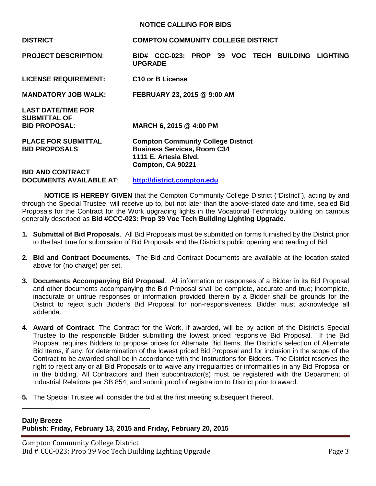#### **NOTICE CALLING FOR BIDS**

| <b>DISTRICT:</b>                                                         | <b>COMPTON COMMUNITY COLLEGE DISTRICT</b>                                                                                     |  |
|--------------------------------------------------------------------------|-------------------------------------------------------------------------------------------------------------------------------|--|
| <b>PROJECT DESCRIPTION:</b>                                              | BID# CCC-023: PROP 39 VOC TECH<br><b>BUILDING</b><br><b>LIGHTING</b><br><b>UPGRADE</b>                                        |  |
| <b>LICENSE REQUIREMENT:</b>                                              | C <sub>10</sub> or B License                                                                                                  |  |
| <b>MANDATORY JOB WALK:</b>                                               | FEBRUARY 23, 2015 @ 9:00 AM                                                                                                   |  |
| <b>LAST DATE/TIME FOR</b><br><b>SUBMITTAL OF</b><br><b>BID PROPOSAL:</b> | MARCH 6, 2015 @ 4:00 PM                                                                                                       |  |
| <b>PLACE FOR SUBMITTAL</b><br><b>BID PROPOSALS:</b>                      | <b>Compton Community College District</b><br><b>Business Services, Room C34</b><br>1111 E. Artesia Blvd.<br>Compton, CA 90221 |  |
| <b>BID AND CONTRACT</b><br><b>DOCUMENTS AVAILABLE AT:</b>                | http://district.compton.edu                                                                                                   |  |

**NOTICE IS HEREBY GIVEN** that the Compton Community College District ("District"), acting by and through the Special Trustee, will receive up to, but not later than the above-stated date and time, sealed Bid Proposals for the Contract for the Work upgrading lights in the Vocational Technology building on campus generally described as **Bid #CCC-023: Prop 39 Voc Tech Building Lighting Upgrade.**

- **1. Submittal of Bid Proposals**. All Bid Proposals must be submitted on forms furnished by the District prior to the last time for submission of Bid Proposals and the District's public opening and reading of Bid.
- **2. Bid and Contract Documents**. The Bid and Contract Documents are available at the location stated above for (no charge) per set.
- **3. Documents Accompanying Bid Proposal**. All information or responses of a Bidder in its Bid Proposal and other documents accompanying the Bid Proposal shall be complete, accurate and true; incomplete, inaccurate or untrue responses or information provided therein by a Bidder shall be grounds for the District to reject such Bidder's Bid Proposal for non-responsiveness. Bidder must acknowledge all addenda.
- **4. Award of Contract**. The Contract for the Work, if awarded, will be by action of the District's Special Trustee to the responsible Bidder submitting the lowest priced responsive Bid Proposal. If the Bid Proposal requires Bidders to propose prices for Alternate Bid Items, the District's selection of Alternate Bid Items, if any, for determination of the lowest priced Bid Proposal and for inclusion in the scope of the Contract to be awarded shall be in accordance with the Instructions for Bidders. The District reserves the right to reject any or all Bid Proposals or to waive any irregularities or informalities in any Bid Proposal or in the bidding. All Contractors and their subcontractor(s) must be registered with the Department of Industrial Relations per SB 854; and submit proof of registration to District prior to award.
- **5.** The Special Trustee will consider the bid at the first meeting subsequent thereof.

## **Daily Breeze Publish: Friday, February 13, 2015 and Friday, February 20, 2015**

\_\_\_\_\_\_\_\_\_\_\_\_\_\_\_\_\_\_\_\_\_\_\_\_\_\_\_\_\_\_\_\_\_\_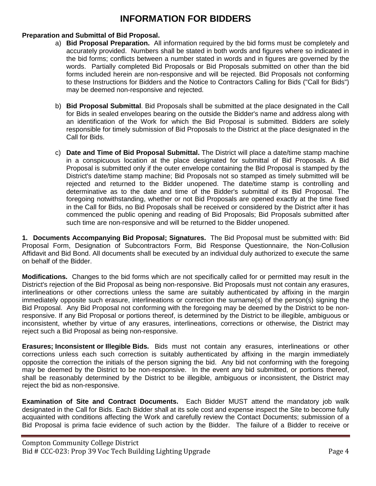# **INFORMATION FOR BIDDERS**

## **Preparation and Submittal of Bid Proposal.**

- a) **Bid Proposal Preparation.** All information required by the bid forms must be completely and accurately provided. Numbers shall be stated in both words and figures where so indicated in the bid forms; conflicts between a number stated in words and in figures are governed by the words. Partially completed Bid Proposals or Bid Proposals submitted on other than the bid forms included herein are non-responsive and will be rejected. Bid Proposals not conforming to these Instructions for Bidders and the Notice to Contractors Calling for Bids ("Call for Bids") may be deemed non-responsive and rejected.
- b) **Bid Proposal Submittal**. Bid Proposals shall be submitted at the place designated in the Call for Bids in sealed envelopes bearing on the outside the Bidder's name and address along with an identification of the Work for which the Bid Proposal is submitted. Bidders are solely responsible for timely submission of Bid Proposals to the District at the place designated in the Call for Bids.
- c) **Date and Time of Bid Proposal Submittal.** The District will place a date/time stamp machine in a conspicuous location at the place designated for submittal of Bid Proposals. A Bid Proposal is submitted only if the outer envelope containing the Bid Proposal is stamped by the District's date/time stamp machine; Bid Proposals not so stamped as timely submitted will be rejected and returned to the Bidder unopened. The date/time stamp is controlling and determinative as to the date and time of the Bidder's submittal of its Bid Proposal. The foregoing notwithstanding, whether or not Bid Proposals are opened exactly at the time fixed in the Call for Bids, no Bid Proposals shall be received or considered by the District after it has commenced the public opening and reading of Bid Proposals; Bid Proposals submitted after such time are non-responsive and will be returned to the Bidder unopened.

**1. Documents Accompanying Bid Proposal; Signatures.** The Bid Proposal must be submitted with: Bid Proposal Form, Designation of Subcontractors Form, Bid Response Questionnaire, the Non-Collusion Affidavit and Bid Bond. All documents shall be executed by an individual duly authorized to execute the same on behalf of the Bidder.

**Modifications.** Changes to the bid forms which are not specifically called for or permitted may result in the District's rejection of the Bid Proposal as being non-responsive. Bid Proposals must not contain any erasures, interlineations or other corrections unless the same are suitably authenticated by affixing in the margin immediately opposite such erasure, interlineations or correction the surname(s) of the person(s) signing the Bid Proposal. Any Bid Proposal not conforming with the foregoing may be deemed by the District to be nonresponsive. If any Bid Proposal or portions thereof, is determined by the District to be illegible, ambiguous or inconsistent, whether by virtue of any erasures, interlineations, corrections or otherwise, the District may reject such a Bid Proposal as being non-responsive.

**Erasures; Inconsistent or Illegible Bids.** Bids must not contain any erasures, interlineations or other corrections unless each such correction is suitably authenticated by affixing in the margin immediately opposite the correction the initials of the person signing the bid. Any bid not conforming with the foregoing may be deemed by the District to be non-responsive. In the event any bid submitted, or portions thereof, shall be reasonably determined by the District to be illegible, ambiguous or inconsistent, the District may reject the bid as non-responsive.

**Examination of Site and Contract Documents.** Each Bidder MUST attend the mandatory job walk designated in the Call for Bids. Each Bidder shall at its sole cost and expense inspect the Site to become fully acquainted with conditions affecting the Work and carefully review the Contact Documents; submission of a Bid Proposal is prima facie evidence of such action by the Bidder. The failure of a Bidder to receive or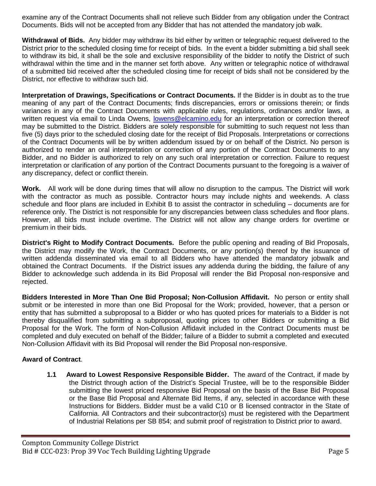examine any of the Contract Documents shall not relieve such Bidder from any obligation under the Contract Documents. Bids will not be accepted from any Bidder that has not attended the mandatory job walk.

**Withdrawal of Bids.** Any bidder may withdraw its bid either by written or telegraphic request delivered to the District prior to the scheduled closing time for receipt of bids. In the event a bidder submitting a bid shall seek to withdraw its bid, it shall be the sole and exclusive responsibility of the bidder to notify the District of such withdrawal within the time and in the manner set forth above. Any written or telegraphic notice of withdrawal of a submitted bid received after the scheduled closing time for receipt of bids shall not be considered by the District, nor effective to withdraw such bid.

**Interpretation of Drawings, Specifications or Contract Documents.** If the Bidder is in doubt as to the true meaning of any part of the Contract Documents; finds discrepancies, errors or omissions therein; or finds variances in any of the Contract Documents with applicable rules, regulations, ordinances and/or laws, a written request via email to Linda Owens, [lowens@elcamino.edu](mailto:lowens@elcamino.edu) for an interpretation or correction thereof may be submitted to the District. Bidders are solely responsible for submitting to such request not less than five (5) days prior to the scheduled closing date for the receipt of Bid Proposals. Interpretations or corrections of the Contract Documents will be by written addendum issued by or on behalf of the District. No person is authorized to render an oral interpretation or correction of any portion of the Contract Documents to any Bidder, and no Bidder is authorized to rely on any such oral interpretation or correction. Failure to request interpretation or clarification of any portion of the Contract Documents pursuant to the foregoing is a waiver of any discrepancy, defect or conflict therein.

**Work.** All work will be done during times that will allow no disruption to the campus. The District will work with the contractor as much as possible. Contractor hours may include nights and weekends. A class schedule and floor plans are included in Exhibit B to assist the contractor in scheduling – documents are for reference only. The District is not responsible for any discrepancies between class schedules and floor plans. However, all bids must include overtime. The District will not allow any change orders for overtime or premium in their bids.

**District's Right to Modify Contract Documents.** Before the public opening and reading of Bid Proposals, the District may modify the Work, the Contract Documents, or any portion(s) thereof by the issuance of written addenda disseminated via email to all Bidders who have attended the mandatory jobwalk and obtained the Contract Documents. If the District issues any addenda during the bidding, the failure of any Bidder to acknowledge such addenda in its Bid Proposal will render the Bid Proposal non-responsive and rejected.

**Bidders Interested in More Than One Bid Proposal; Non-Collusion Affidavit.** No person or entity shall submit or be interested in more than one Bid Proposal for the Work; provided, however, that a person or entity that has submitted a subproposal to a Bidder or who has quoted prices for materials to a Bidder is not thereby disqualified from submitting a subproposal, quoting prices to other Bidders or submitting a Bid Proposal for the Work. The form of Non-Collusion Affidavit included in the Contract Documents must be completed and duly executed on behalf of the Bidder; failure of a Bidder to submit a completed and executed Non-Collusion Affidavit with its Bid Proposal will render the Bid Proposal non-responsive.

## **Award of Contract**.

**1.1 Award to Lowest Responsive Responsible Bidder.** The award of the Contract, if made by the District through action of the District's Special Trustee, will be to the responsible Bidder submitting the lowest priced responsive Bid Proposal on the basis of the Base Bid Proposal or the Base Bid Proposal and Alternate Bid Items, if any, selected in accordance with these Instructions for Bidders. Bidder must be a valid C10 or B licensed contractor in the State of California. All Contractors and their subcontractor(s) must be registered with the Department of Industrial Relations per SB 854; and submit proof of registration to District prior to award.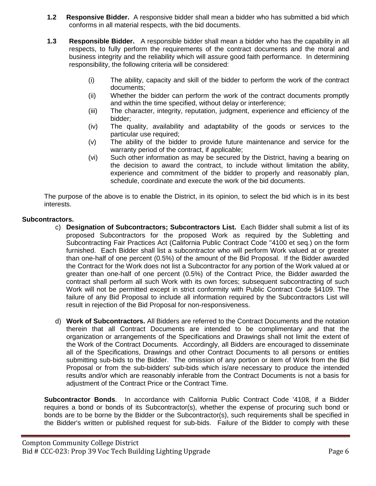- **1.2 Responsive Bidder.** A responsive bidder shall mean a bidder who has submitted a bid which conforms in all material respects, with the bid documents.
- **1.3 Responsible Bidder.** A responsible bidder shall mean a bidder who has the capability in all respects, to fully perform the requirements of the contract documents and the moral and business integrity and the reliability which will assure good faith performance. In determining responsibility, the following criteria will be considered:
	- (i) The ability, capacity and skill of the bidder to perform the work of the contract documents;
	- (ii) Whether the bidder can perform the work of the contract documents promptly and within the time specified, without delay or interference;
	- (iii) The character, integrity, reputation, judgment, experience and efficiency of the bidder;
	- (iv) The quality, availability and adaptability of the goods or services to the particular use required;
	- (v) The ability of the bidder to provide future maintenance and service for the warranty period of the contract, if applicable;
	- (vi) Such other information as may be secured by the District, having a bearing on the decision to award the contract, to include without limitation the ability, experience and commitment of the bidder to properly and reasonably plan, schedule, coordinate and execute the work of the bid documents.

The purpose of the above is to enable the District, in its opinion, to select the bid which is in its best interests.

## **Subcontractors.**

- c) **Designation of Subcontractors; Subcontractors List.** Each Bidder shall submit a list of its proposed Subcontractors for the proposed Work as required by the Subletting and Subcontracting Fair Practices Act (California Public Contract Code ''4100 et seq.) on the form furnished. Each Bidder shall list a subcontractor who will perform Work valued at or greater than one-half of one percent (0.5%) of the amount of the Bid Proposal. If the Bidder awarded the Contract for the Work does not list a Subcontractor for any portion of the Work valued at or greater than one-half of one percent (0.5%) of the Contract Price, the Bidder awarded the contract shall perform all such Work with its own forces; subsequent subcontracting of such Work will not be permitted except in strict conformity with Public Contract Code §4109. The failure of any Bid Proposal to include all information required by the Subcontractors List will result in rejection of the Bid Proposal for non-responsiveness.
- d) **Work of Subcontractors.** All Bidders are referred to the Contract Documents and the notation therein that all Contract Documents are intended to be complimentary and that the organization or arrangements of the Specifications and Drawings shall not limit the extent of the Work of the Contract Documents. Accordingly, all Bidders are encouraged to disseminate all of the Specifications, Drawings and other Contract Documents to all persons or entities submitting sub-bids to the Bidder. The omission of any portion or item of Work from the Bid Proposal or from the sub-bidders' sub-bids which is/are necessary to produce the intended results and/or which are reasonably inferable from the Contract Documents is not a basis for adjustment of the Contract Price or the Contract Time.

**Subcontractor Bonds**. In accordance with California Public Contract Code '4108, if a Bidder requires a bond or bonds of its Subcontractor(s), whether the expense of procuring such bond or bonds are to be borne by the Bidder or the Subcontractor(s), such requirements shall be specified in the Bidder's written or published request for sub-bids. Failure of the Bidder to comply with these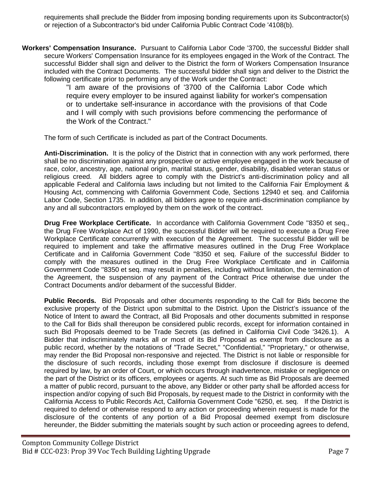requirements shall preclude the Bidder from imposing bonding requirements upon its Subcontractor(s) or rejection of a Subcontractor's bid under California Public Contract Code '4108(b).

**Workers' Compensation Insurance.** Pursuant to California Labor Code '3700, the successful Bidder shall secure Workers' Compensation Insurance for its employees engaged in the Work of the Contract. The successful Bidder shall sign and deliver to the District the form of Workers Compensation Insurance included with the Contract Documents. The successful bidder shall sign and deliver to the District the following certificate prior to performing any of the Work under the Contract:

"I am aware of the provisions of '3700 of the California Labor Code which require every employer to be insured against liability for worker's compensation or to undertake self-insurance in accordance with the provisions of that Code and I will comply with such provisions before commencing the performance of the Work of the Contract."

The form of such Certificate is included as part of the Contract Documents.

**Anti-Discrimination.** It is the policy of the District that in connection with any work performed, there shall be no discrimination against any prospective or active employee engaged in the work because of race, color, ancestry, age, national origin, marital status, gender, disability, disabled veteran status or religious creed. All bidders agree to comply with the District's anti-discrimination policy and all applicable Federal and California laws including but not limited to the California Fair Employment & Housing Act, commencing with California Government Code, Sections 12940 et seq. and California Labor Code, Section 1735. In addition, all bidders agree to require anti-discrimination compliance by any and all subcontractors employed by them on the work of the contract.

**Drug Free Workplace Certificate.** In accordance with California Government Code ''8350 et seq., the Drug Free Workplace Act of 1990, the successful Bidder will be required to execute a Drug Free Workplace Certificate concurrently with execution of the Agreement. The successful Bidder will be required to implement and take the affirmative measures outlined in the Drug Free Workplace Certificate and in California Government Code ''8350 et seq. Failure of the successful Bidder to comply with the measures outlined in the Drug Free Workplace Certificate and in California Government Code ''8350 et seq. may result in penalties, including without limitation, the termination of the Agreement, the suspension of any payment of the Contract Price otherwise due under the Contract Documents and/or debarment of the successful Bidder.

**Public Records.** Bid Proposals and other documents responding to the Call for Bids become the exclusive property of the District upon submittal to the District. Upon the District's issuance of the Notice of Intent to award the Contract, all Bid Proposals and other documents submitted in response to the Call for Bids shall thereupon be considered public records, except for information contained in such Bid Proposals deemed to be Trade Secrets (as defined in California Civil Code '3426.1). A Bidder that indiscriminately marks all or most of its Bid Proposal as exempt from disclosure as a public record, whether by the notations of "Trade Secret," "Confidential," "Proprietary," or otherwise, may render the Bid Proposal non-responsive and rejected. The District is not liable or responsible for the disclosure of such records, including those exempt from disclosure if disclosure is deemed required by law, by an order of Court, or which occurs through inadvertence, mistake or negligence on the part of the District or its officers, employees or agents. At such time as Bid Proposals are deemed a matter of public record, pursuant to the above, any Bidder or other party shall be afforded access for inspection and/or copying of such Bid Proposals, by request made to the District in conformity with the California Access to Public Records Act, California Government Code ''6250, et. seq. If the District is required to defend or otherwise respond to any action or proceeding wherein request is made for the disclosure of the contents of any portion of a Bid Proposal deemed exempt from disclosure hereunder, the Bidder submitting the materials sought by such action or proceeding agrees to defend,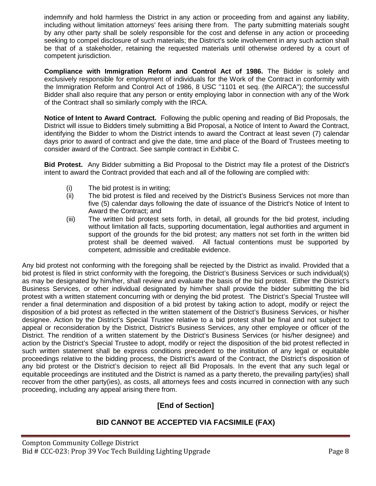indemnify and hold harmless the District in any action or proceeding from and against any liability, including without limitation attorneys' fees arising there from. The party submitting materials sought by any other party shall be solely responsible for the cost and defense in any action or proceeding seeking to compel disclosure of such materials; the District's sole involvement in any such action shall be that of a stakeholder, retaining the requested materials until otherwise ordered by a court of competent jurisdiction.

**Compliance with Immigration Reform and Control Act of 1986.** The Bidder is solely and exclusively responsible for employment of individuals for the Work of the Contract in conformity with the Immigration Reform and Control Act of 1986, 8 USC ''1101 et seq. (the AIRCA"); the successful Bidder shall also require that any person or entity employing labor in connection with any of the Work of the Contract shall so similarly comply with the IRCA.

**Notice of Intent to Award Contract.** Following the public opening and reading of Bid Proposals, the District will issue to Bidders timely submitting a Bid Proposal, a Notice of Intent to Award the Contract, identifying the Bidder to whom the District intends to award the Contract at least seven (7) calendar days prior to award of contract and give the date, time and place of the Board of Trustees meeting to consider award of the Contract. See sample contract in Exhibit C.

**Bid Protest.** Any Bidder submitting a Bid Proposal to the District may file a protest of the District's intent to award the Contract provided that each and all of the following are complied with:

- (i) The bid protest is in writing;
- (ii) The bid protest is filed and received by the District's Business Services not more than five (5) calendar days following the date of issuance of the District's Notice of Intent to Award the Contract; and
- (iii) The written bid protest sets forth, in detail, all grounds for the bid protest, including without limitation all facts, supporting documentation, legal authorities and argument in support of the grounds for the bid protest; any matters not set forth in the written bid protest shall be deemed waived. All factual contentions must be supported by competent, admissible and creditable evidence.

Any bid protest not conforming with the foregoing shall be rejected by the District as invalid. Provided that a bid protest is filed in strict conformity with the foregoing, the District's Business Services or such individual(s) as may be designated by him/her, shall review and evaluate the basis of the bid protest. Either the District's Business Services, or other individual designated by him/her shall provide the bidder submitting the bid protest with a written statement concurring with or denying the bid protest. The District's Special Trustee will render a final determination and disposition of a bid protest by taking action to adopt, modify or reject the disposition of a bid protest as reflected in the written statement of the District's Business Services, or his/her designee. Action by the District's Special Trustee relative to a bid protest shall be final and not subject to appeal or reconsideration by the District, District's Business Services, any other employee or officer of the District. The rendition of a written statement by the District's Business Services (or his/her designee) and action by the District's Special Trustee to adopt, modify or reject the disposition of the bid protest reflected in such written statement shall be express conditions precedent to the institution of any legal or equitable proceedings relative to the bidding process, the District's award of the Contract, the District's disposition of any bid protest or the District's decision to reject all Bid Proposals. In the event that any such legal or equitable proceedings are instituted and the District is named as a party thereto, the prevailing party(ies) shall recover from the other party(ies), as costs, all attorneys fees and costs incurred in connection with any such proceeding, including any appeal arising there from.

# **[End of Section]**

# **BID CANNOT BE ACCEPTED VIA FACSIMILE (FAX)**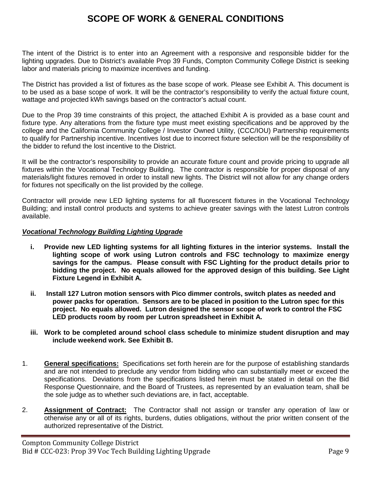# **SCOPE OF WORK & GENERAL CONDITIONS**

The intent of the District is to enter into an Agreement with a responsive and responsible bidder for the lighting upgrades. Due to District's available Prop 39 Funds, Compton Community College District is seeking labor and materials pricing to maximize incentives and funding.

The District has provided a list of fixtures as the base scope of work. Please see Exhibit A. This document is to be used as a base scope of work. It will be the contractor's responsibility to verify the actual fixture count, wattage and projected kWh savings based on the contractor's actual count.

Due to the Prop 39 time constraints of this project, the attached Exhibit A is provided as a base count and fixture type. Any alterations from the fixture type must meet existing specifications and be approved by the college and the California Community College / Investor Owned Utility, (CCC/IOU) Partnership requirements to qualify for Partnership incentive. Incentives lost due to incorrect fixture selection will be the responsibility of the bidder to refund the lost incentive to the District.

It will be the contractor's responsibility to provide an accurate fixture count and provide pricing to upgrade all fixtures within the Vocational Technology Building. The contractor is responsible for proper disposal of any materials/light fixtures removed in order to install new lights. The District will not allow for any change orders for fixtures not specifically on the list provided by the college.

Contractor will provide new LED lighting systems for all fluorescent fixtures in the Vocational Technology Building; and install control products and systems to achieve greater savings with the latest Lutron controls available.

## *Vocational Technology Building Lighting Upgrade*

- **i. Provide new LED lighting systems for all lighting fixtures in the interior systems. Install the lighting scope of work using Lutron controls and FSC technology to maximize energy savings for the campus. Please consult with FSC Lighting for the product details prior to bidding the project. No equals allowed for the approved design of this building. See Light Fixture Legend in Exhibit A.**
- **ii. Install 127 Lutron motion sensors with Pico dimmer controls, switch plates as needed and power packs for operation. Sensors are to be placed in position to the Lutron spec for this project. No equals allowed. Lutron designed the sensor scope of work to control the FSC LED products room by room per Lutron spreadsheet in Exhibit A.**
- **iii. Work to be completed around school class schedule to minimize student disruption and may include weekend work. See Exhibit B.**
- 1. **General specifications:** Specifications set forth herein are for the purpose of establishing standards and are not intended to preclude any vendor from bidding who can substantially meet or exceed the specifications. Deviations from the specifications listed herein must be stated in detail on the Bid Response Questionnaire, and the Board of Trustees, as represented by an evaluation team, shall be the sole judge as to whether such deviations are, in fact, acceptable.
- 2. **Assignment of Contract:** The Contractor shall not assign or transfer any operation of law or otherwise any or all of its rights, burdens, duties obligations, without the prior written consent of the authorized representative of the District.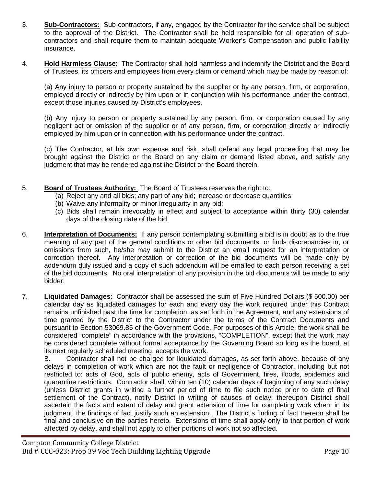- 3. **Sub-Contractors:** Sub-contractors, if any, engaged by the Contractor for the service shall be subject to the approval of the District. The Contractor shall be held responsible for all operation of subcontractors and shall require them to maintain adequate Worker's Compensation and public liability insurance.
- 4. **Hold Harmless Clause**: The Contractor shall hold harmless and indemnify the District and the Board of Trustees, its officers and employees from every claim or demand which may be made by reason of:

(a) Any injury to person or property sustained by the supplier or by any person, firm, or corporation, employed directly or indirectly by him upon or in conjunction with his performance under the contract, except those injuries caused by District's employees.

(b) Any injury to person or property sustained by any person, firm, or corporation caused by any negligent act or omission of the supplier or of any person, firm, or corporation directly or indirectly employed by him upon or in connection with his performance under the contract.

(c) The Contractor, at his own expense and risk, shall defend any legal proceeding that may be brought against the District or the Board on any claim or demand listed above, and satisfy any judgment that may be rendered against the District or the Board therein.

- 5. **Board of Trustees Authority:** The Board of Trustees reserves the right to:
	- (a) Reject any and all bids; any part of any bid; increase or decrease quantities
	- (b) Waive any informality or minor irregularity in any bid;
	- (c) Bids shall remain irrevocably in effect and subject to acceptance within thirty (30) calendar days of the closing date of the bid.
- 6. **Interpretation of Documents:** If any person contemplating submitting a bid is in doubt as to the true meaning of any part of the general conditions or other bid documents, or finds discrepancies in, or omissions from such, he/she may submit to the District an email request for an interpretation or correction thereof. Any interpretation or correction of the bid documents will be made only by addendum duly issued and a copy of such addendum will be emailed to each person receiving a set of the bid documents. No oral interpretation of any provision in the bid documents will be made to any bidder.
- 7. **Liquidated Damages**: Contractor shall be assessed the sum of Five Hundred Dollars (\$ 500.00) per calendar day as liquidated damages for each and every day the work required under this Contract remains unfinished past the time for completion, as set forth in the Agreement, and any extensions of time granted by the District to the Contractor under the terms of the Contract Documents and pursuant to Section 53069.85 of the Government Code. For purposes of this Article, the work shall be considered "complete" in accordance with the provisions, "COMPLETION", except that the work may be considered complete without formal acceptance by the Governing Board so long as the board, at its next regularly scheduled meeting, accepts the work.

B. Contractor shall not be charged for liquidated damages, as set forth above, because of any delays in completion of work which are not the fault or negligence of Contractor, including but not restricted to: acts of God, acts of public enemy, acts of Government, fires, floods, epidemics and quarantine restrictions. Contractor shall, within ten (10) calendar days of beginning of any such delay (unless District grants in writing a further period of time to file such notice prior to date of final settlement of the Contract), notify District in writing of causes of delay; thereupon District shall ascertain the facts and extent of delay and grant extension of time for completing work when, in its judgment, the findings of fact justify such an extension. The District's finding of fact thereon shall be final and conclusive on the parties hereto. Extensions of time shall apply only to that portion of work affected by delay, and shall not apply to other portions of work not so affected.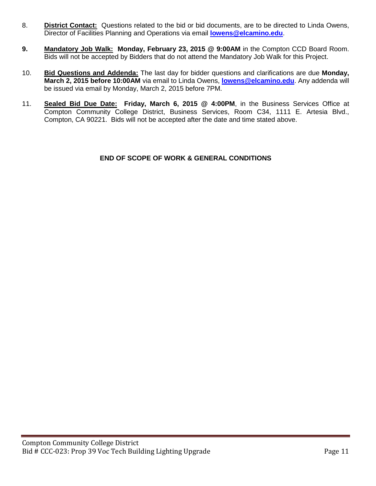- 8. **District Contact:** Questions related to the bid or bid documents, are to be directed to Linda Owens, Director of Facilities Planning and Operations via email **[lowens@elcamino.edu](mailto:lowens@elcamino.edu)**.
- **9. Mandatory Job Walk: Monday, February 23, 2015 @ 9:00AM** in the Compton CCD Board Room. Bids will not be accepted by Bidders that do not attend the Mandatory Job Walk for this Project.
- 10. **Bid Questions and Addenda:** The last day for bidder questions and clarifications are due **Monday, March 2, 2015 before 10:00AM** via email to Linda Owens, **[lowens@elcamino.edu](mailto:lowens@elcamino.edu)**. Any addenda will be issued via email by Monday, March 2, 2015 before 7PM.
- 11. **Sealed Bid Due Date: Friday, March 6, 2015 @ 4:00PM**, in the Business Services Office at Compton Community College District, Business Services, Room C34, 1111 E. Artesia Blvd., Compton, CA 90221. Bids will not be accepted after the date and time stated above.

## **END OF SCOPE OF WORK & GENERAL CONDITIONS**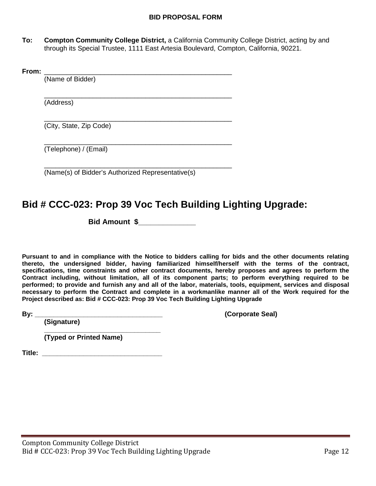## **BID PROPOSAL FORM**

**To: Compton Community College District,** a California Community College District, acting by and through its Special Trustee, 1111 East Artesia Boulevard, Compton, California, 90221.

| (Name of Bidder)        |
|-------------------------|
| (Address)               |
| (City, State, Zip Code) |
| (Telephone) / (Email)   |

# **Bid # CCC-023: Prop 39 Voc Tech Building Lighting Upgrade:**

**Bid Amount \$\_\_\_\_\_\_\_\_\_\_\_\_\_\_**

**Pursuant to and in compliance with the Notice to bidders calling for bids and the other documents relating thereto, the undersigned bidder, having familiarized himself/herself with the terms of the contract, specifications, time constraints and other contract documents, hereby proposes and agrees to perform the Contract including, without limitation, all of its component parts; to perform everything required to be performed; to provide and furnish any and all of the labor, materials, tools, equipment, services and disposal necessary to perform the Contract and complete in a workmanlike manner all of the Work required for the Project described as: Bid # CCC-023: Prop 39 Voc Tech Building Lighting Upgrade**

**By: \_\_\_\_\_\_\_\_\_\_\_\_\_\_\_\_\_\_\_\_\_\_\_\_\_\_\_\_\_\_\_\_\_\_ (Corporate Seal)**

**(Signature)**

**\_\_\_\_\_\_\_\_\_\_\_\_\_\_\_\_\_\_\_\_\_\_\_\_\_\_\_\_\_\_\_ (Typed or Printed Name)**

**Title: \_\_\_\_\_\_\_\_\_\_\_\_\_\_\_\_\_\_\_\_\_\_\_\_\_\_\_\_\_\_\_\_**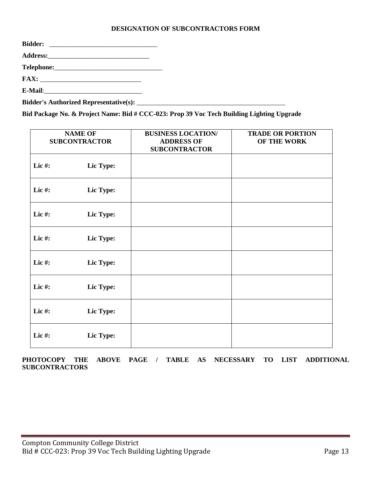## **DESIGNATION OF SUBCONTRACTORS FORM**

**Bid Package No. & Project Name: Bid # CCC-023: Prop 39 Voc Tech Building Lighting Upgrade**

|           | <b>NAME OF</b><br><b>SUBCONTRACTOR</b> | <b>BUSINESS LOCATION/</b><br><b>ADDRESS OF</b><br><b>SUBCONTRACTOR</b> | <b>TRADE OR PORTION</b><br>OF THE WORK |
|-----------|----------------------------------------|------------------------------------------------------------------------|----------------------------------------|
| Lic#:     | Lic Type:                              |                                                                        |                                        |
| Lic#:     | Lic Type:                              |                                                                        |                                        |
| Lic $#$ : | Lic Type:                              |                                                                        |                                        |
| Lic#:     | Lic Type:                              |                                                                        |                                        |
| Lic#:     | Lic Type:                              |                                                                        |                                        |
| Lic $#$ : | Lic Type:                              |                                                                        |                                        |
| Lic#:     | Lic Type:                              |                                                                        |                                        |
| Lic#:     | Lic Type:                              |                                                                        |                                        |

**PHOTOCOPY THE ABOVE PAGE / TABLE AS NECESSARY TO LIST ADDITIONAL SUBCONTRACTORS**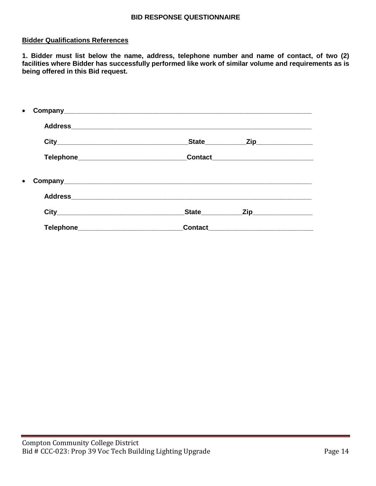### **BID RESPONSE QUESTIONNAIRE**

### **Bidder Qualifications References**

**1. Bidder must list below the name, address, telephone number and name of contact, of two (2)**  facilities where Bidder has successfully performed like work of similar volume and requirements as is **being offered in this Bid request.**

|  |                                         | State__________    | _Zip____________________ |  |
|--|-----------------------------------------|--------------------|--------------------------|--|
|  |                                         |                    |                          |  |
|  |                                         |                    |                          |  |
|  |                                         |                    |                          |  |
|  |                                         | State <u>State</u> | Zip_____________________ |  |
|  | Telephone______________________________ |                    |                          |  |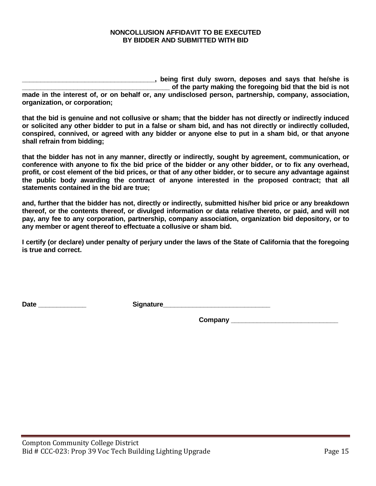### **NONCOLLUSION AFFIDAVIT TO BE EXECUTED BY BIDDER AND SUBMITTED WITH BID**

**\_\_\_\_\_\_\_\_\_\_\_\_\_\_\_\_\_\_\_\_\_\_\_\_\_\_\_\_\_\_\_\_\_\_\_\_, being first duly sworn, deposes and says that he/she is \_\_\_\_\_\_\_\_\_\_\_\_\_\_\_\_\_\_\_\_\_\_\_\_\_\_\_\_\_\_\_\_\_\_\_\_\_\_\_\_ of the party making the foregoing bid that the bid is not made in the interest of, or on behalf or, any undisclosed person, partnership, company, association, organization, or corporation;** 

**that the bid is genuine and not collusive or sham; that the bidder has not directly or indirectly induced or solicited any other bidder to put in a false or sham bid, and has not directly or indirectly colluded, conspired, connived, or agreed with any bidder or anyone else to put in a sham bid, or that anyone shall refrain from bidding;** 

**that the bidder has not in any manner, directly or indirectly, sought by agreement, communication, or conference with anyone to fix the bid price of the bidder or any other bidder, or to fix any overhead, profit, or cost element of the bid prices, or that of any other bidder, or to secure any advantage against the public body awarding the contract of anyone interested in the proposed contract; that all statements contained in the bid are true;** 

**and, further that the bidder has not, directly or indirectly, submitted his/her bid price or any breakdown thereof, or the contents thereof, or divulged information or data relative thereto, or paid, and will not pay, any fee to any corporation, partnership, company association, organization bid depository, or to any member or agent thereof to effectuate a collusive or sham bid.** 

**I certify (or declare) under penalty of perjury under the laws of the State of California that the foregoing is true and correct.**

Date **Date** *Construction Signature* 

**Company \_\_\_\_\_\_\_\_\_\_\_\_\_\_\_\_\_\_\_\_\_\_\_\_\_\_\_\_\_**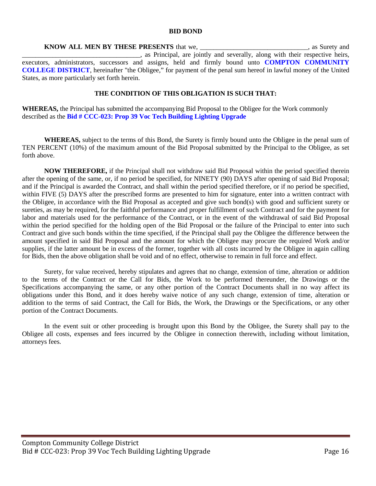#### **BID BOND**

**KNOW ALL MEN BY THESE PRESENTS** that we, \_\_\_\_\_\_\_\_\_\_\_\_\_\_\_\_\_\_\_\_\_\_, as Surety and . as Principal, are jointly and severally, along with their respective heirs, executors, administrators, successors and assigns, held and firmly bound unto **COMPTON COMMUNITY COLLEGE DISTRICT**, hereinafter "the Obligee," for payment of the penal sum hereof in lawful money of the United States, as more particularly set forth herein.

#### **THE CONDITION OF THIS OBLIGATION IS SUCH THAT:**

**WHEREAS,** the Principal has submitted the accompanying Bid Proposal to the Obligee for the Work commonly described as the **Bid # CCC-023: Prop 39 Voc Tech Building Lighting Upgrade**

**WHEREAS,** subject to the terms of this Bond, the Surety is firmly bound unto the Obligee in the penal sum of TEN PERCENT (10%) of the maximum amount of the Bid Proposal submitted by the Principal to the Obligee, as set forth above.

**NOW THEREFORE,** if the Principal shall not withdraw said Bid Proposal within the period specified therein after the opening of the same, or, if no period be specified, for NINETY (90) DAYS after opening of said Bid Proposal; and if the Principal is awarded the Contract, and shall within the period specified therefore, or if no period be specified, within FIVE (5) DAYS after the prescribed forms are presented to him for signature, enter into a written contract with the Obligee, in accordance with the Bid Proposal as accepted and give such bond(s) with good and sufficient surety or sureties, as may be required, for the faithful performance and proper fulfillment of such Contract and for the payment for labor and materials used for the performance of the Contract, or in the event of the withdrawal of said Bid Proposal within the period specified for the holding open of the Bid Proposal or the failure of the Principal to enter into such Contract and give such bonds within the time specified, if the Principal shall pay the Obligee the difference between the amount specified in said Bid Proposal and the amount for which the Obligee may procure the required Work and/or supplies, if the latter amount be in excess of the former, together with all costs incurred by the Obligee in again calling for Bids, then the above obligation shall be void and of no effect, otherwise to remain in full force and effect.

Surety, for value received, hereby stipulates and agrees that no change, extension of time, alteration or addition to the terms of the Contract or the Call for Bids, the Work to be performed thereunder, the Drawings or the Specifications accompanying the same, or any other portion of the Contract Documents shall in no way affect its obligations under this Bond, and it does hereby waive notice of any such change, extension of time, alteration or addition to the terms of said Contract, the Call for Bids, the Work, the Drawings or the Specifications, or any other portion of the Contract Documents.

In the event suit or other proceeding is brought upon this Bond by the Obligee, the Surety shall pay to the Obligee all costs, expenses and fees incurred by the Obligee in connection therewith, including without limitation, attorneys fees.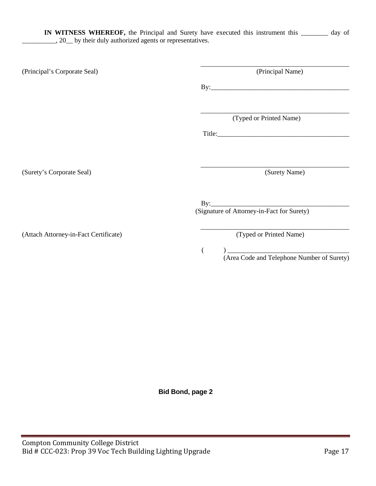**IN WITNESS WHEREOF,** the Principal and Surety have executed this instrument this \_\_\_\_\_\_\_\_ day of \_\_\_\_\_\_\_\_\_\_, 20\_\_ by their duly authorized agents or representatives.

| (Principal's Corporate Seal)          | (Principal Name)                           |
|---------------------------------------|--------------------------------------------|
|                                       |                                            |
|                                       | (Typed or Printed Name)                    |
|                                       | Title:                                     |
|                                       |                                            |
| (Surety's Corporate Seal)             | (Surety Name)                              |
|                                       | (Signature of Attorney-in-Fact for Surety) |
|                                       |                                            |
| (Attach Attorney-in-Fact Certificate) | (Typed or Printed Name)                    |

( ) \_\_\_\_\_\_\_\_\_\_\_\_\_\_\_\_\_\_\_\_\_\_\_\_\_\_\_\_\_\_\_\_\_\_\_\_ (Area Code and Telephone Number of Surety)

**Bid Bond, page 2**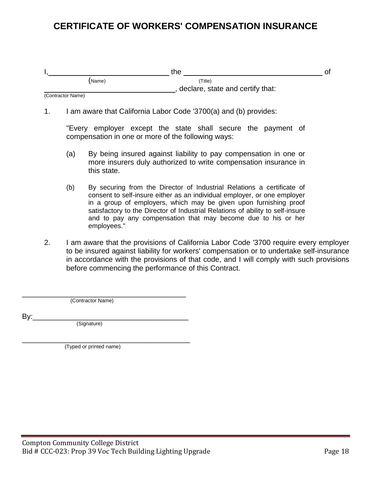# **CERTIFICATE OF WORKERS' COMPENSATION INSURANCE**

|                   |        | the                              | Оt |
|-------------------|--------|----------------------------------|----|
|                   | (Name) | Title)                           |    |
|                   |        | declare, state and certify that: |    |
| (Contractor Name) |        |                                  |    |

1. I am aware that California Labor Code '3700(a) and (b) provides:

"Every employer except the state shall secure the payment of compensation in one or more of the following ways:

- (a) By being insured against liability to pay compensation in one or more insurers duly authorized to write compensation insurance in this state.
- (b) By securing from the Director of Industrial Relations a certificate of consent to self-insure either as an individual employer, or one employer in a group of employers, which may be given upon furnishing proof satisfactory to the Director of Industrial Relations of ability to self-insure and to pay any compensation that may become due to his or her employees."
- 2. I am aware that the provisions of California Labor Code '3700 require every employer to be insured against liability for workers' compensation or to undertake self-insurance in accordance with the provisions of that code, and I will comply with such provisions before commencing the performance of this Contract.

\_\_\_\_\_\_\_\_\_\_\_\_\_\_\_\_\_\_\_\_\_\_\_\_\_\_\_\_\_\_\_\_\_\_\_\_\_\_\_\_ (Contractor Name)

By:\_\_\_\_\_\_\_\_\_\_\_\_\_\_\_\_\_\_\_\_\_\_\_\_\_\_\_\_\_\_\_\_\_\_\_\_\_\_ (Signature)

\_\_\_\_\_\_\_\_\_\_\_\_\_\_\_\_\_\_\_\_\_\_\_\_\_\_\_\_\_\_\_\_\_\_\_\_\_\_\_\_\_ (Typed or printed name)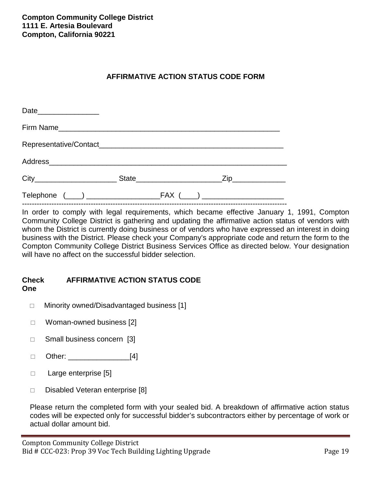# **AFFIRMATIVE ACTION STATUS CODE FORM**

| Date____________________ |  |  |
|--------------------------|--|--|
|                          |  |  |
|                          |  |  |
|                          |  |  |
|                          |  |  |
|                          |  |  |

------------------------------------------------------------------------------------------------------------ In order to comply with legal requirements, which became effective January 1, 1991, Compton Community College District is gathering and updating the affirmative action status of vendors with whom the District is currently doing business or of vendors who have expressed an interest in doing business with the District. Please check your Company's appropriate code and return the form to the Compton Community College District Business Services Office as directed below. Your designation will have no affect on the successful bidder selection.

## **Check AFFIRMATIVE ACTION STATUS CODE One**

- □ Minority owned/Disadvantaged business [1]
- □ Woman-owned business [2]
- □ Small business concern [3]
- Other: \_\_\_\_\_\_\_\_\_\_\_\_\_\_\_[4]
- $\Box$  Large enterprise [5]
- □ Disabled Veteran enterprise [8]

Please return the completed form with your sealed bid. A breakdown of affirmative action status codes will be expected only for successful bidder's subcontractors either by percentage of work or actual dollar amount bid.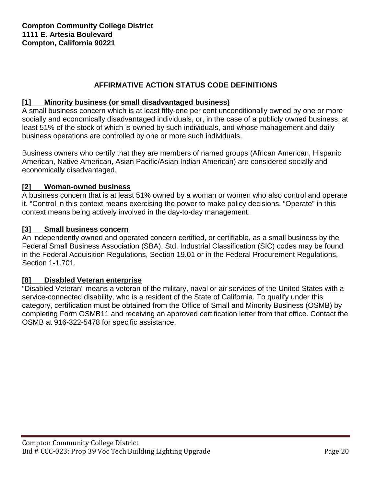# **AFFIRMATIVE ACTION STATUS CODE DEFINITIONS**

# **[1] Minority business (or small disadvantaged business)**

A small business concern which is at least fifty-one per cent unconditionally owned by one or more socially and economically disadvantaged individuals, or, in the case of a publicly owned business, at least 51% of the stock of which is owned by such individuals, and whose management and daily business operations are controlled by one or more such individuals.

Business owners who certify that they are members of named groups (African American, Hispanic American, Native American, Asian Pacific/Asian Indian American) are considered socially and economically disadvantaged.

## **[2] Woman-owned business**

A business concern that is at least 51% owned by a woman or women who also control and operate it. "Control in this context means exercising the power to make policy decisions. "Operate" in this context means being actively involved in the day-to-day management.

## **[3] Small business concern**

An independently owned and operated concern certified, or certifiable, as a small business by the Federal Small Business Association (SBA). Std. Industrial Classification (SIC) codes may be found in the Federal Acquisition Regulations, Section 19.01 or in the Federal Procurement Regulations, Section 1-1.701.

## **[8] Disabled Veteran enterprise**

"Disabled Veteran" means a veteran of the military, naval or air services of the United States with a service-connected disability, who is a resident of the State of California. To qualify under this category, certification must be obtained from the Office of Small and Minority Business (OSMB) by completing Form OSMB11 and receiving an approved certification letter from that office. Contact the OSMB at 916-322-5478 for specific assistance.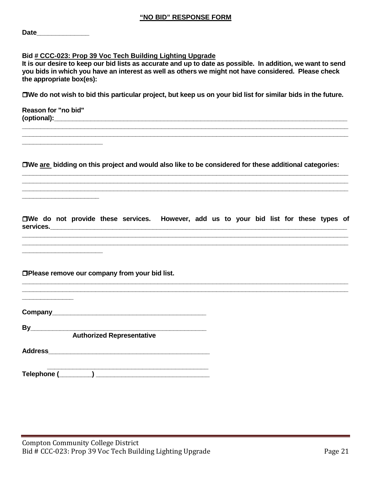#### **Bid # CCC-023: Prop 39 Voc Tech Building Lighting Upgrade**

**It is our desire to keep our bid lists as accurate and up to date as possible. In addition, we want to send you bids in which you have an interest as well as others we might not have considered. Please check the appropriate box(es):**

**We do not wish to bid this particular project, but keep us on your bid list for similar bids in the future.**

**Reason for "no bid" (optional):\_\_\_\_\_\_\_\_\_\_\_\_\_\_\_\_\_\_\_\_\_\_\_\_\_\_\_\_\_\_\_\_\_\_\_\_\_\_\_\_\_\_\_\_\_\_\_\_\_\_\_\_\_\_\_\_\_\_\_\_\_\_\_\_\_\_\_\_\_\_\_\_\_\_\_\_\_\_\_\_**

**\_\_\_\_\_\_\_\_\_\_\_\_\_\_\_\_\_\_\_\_\_\_**

**\_\_\_\_\_\_\_\_\_\_\_\_\_\_\_\_\_\_\_\_\_**

**\_\_\_\_\_\_\_\_\_\_\_\_\_\_\_\_\_\_\_\_\_\_**

**\_\_\_\_\_\_\_\_\_\_\_\_\_\_**

**We are bidding on this project and would also like to be considered for these additional categories: \_\_\_\_\_\_\_\_\_\_\_\_\_\_\_\_\_\_\_\_\_\_\_\_\_\_\_\_\_\_\_\_\_\_\_\_\_\_\_\_\_\_\_\_\_\_\_\_\_\_\_\_\_\_\_\_\_\_\_\_\_\_\_\_\_\_\_\_\_\_\_\_\_\_\_\_\_\_\_\_\_\_\_\_\_\_\_\_\_**

**\_\_\_\_\_\_\_\_\_\_\_\_\_\_\_\_\_\_\_\_\_\_\_\_\_\_\_\_\_\_\_\_\_\_\_\_\_\_\_\_\_\_\_\_\_\_\_\_\_\_\_\_\_\_\_\_\_\_\_\_\_\_\_\_\_\_\_\_\_\_\_\_\_\_\_\_\_\_\_\_\_\_\_\_\_\_\_\_\_ \_\_\_\_\_\_\_\_\_\_\_\_\_\_\_\_\_\_\_\_\_\_\_\_\_\_\_\_\_\_\_\_\_\_\_\_\_\_\_\_\_\_\_\_\_\_\_\_\_\_\_\_\_\_\_\_\_\_\_\_\_\_\_\_\_\_\_\_\_\_\_\_\_\_\_\_\_\_\_\_\_\_\_\_\_\_\_\_\_**

**\_\_\_\_\_\_\_\_\_\_\_\_\_\_\_\_\_\_\_\_\_\_\_\_\_\_\_\_\_\_\_\_\_\_\_\_\_\_\_\_\_\_\_\_\_\_\_\_\_\_\_\_\_\_\_\_\_\_\_\_\_\_\_\_\_\_\_\_\_\_\_\_\_\_\_\_\_\_\_\_\_\_\_\_\_\_\_\_\_**

**We do not provide these services. However, add us to your bid list for these types of services.\_\_\_\_\_\_\_\_\_\_\_\_\_\_\_\_\_\_\_\_\_\_\_\_\_\_\_\_\_\_\_\_\_\_\_\_\_\_\_\_\_\_\_\_\_\_\_\_\_\_\_\_\_\_\_\_\_\_\_\_\_\_\_\_\_\_\_\_\_\_\_\_\_\_\_\_\_\_\_\_\_**

**\_\_\_\_\_\_\_\_\_\_\_\_\_\_\_\_\_\_\_\_\_\_\_\_\_\_\_\_\_\_\_\_\_\_\_\_\_\_\_\_\_\_\_\_\_\_\_\_\_\_\_\_\_\_\_\_\_\_\_\_\_\_\_\_\_\_\_\_\_\_\_\_\_\_\_\_\_\_\_\_\_\_\_\_\_\_\_\_\_ \_\_\_\_\_\_\_\_\_\_\_\_\_\_\_\_\_\_\_\_\_\_\_\_\_\_\_\_\_\_\_\_\_\_\_\_\_\_\_\_\_\_\_\_\_\_\_\_\_\_\_\_\_\_\_\_\_\_\_\_\_\_\_\_\_\_\_\_\_\_\_\_\_\_\_\_\_\_\_\_\_\_\_\_\_\_\_\_\_**

**\_\_\_\_\_\_\_\_\_\_\_\_\_\_\_\_\_\_\_\_\_\_\_\_\_\_\_\_\_\_\_\_\_\_\_\_\_\_\_\_\_\_\_\_\_\_\_\_\_\_\_\_\_\_\_\_\_\_\_\_\_\_\_\_\_\_\_\_\_\_\_\_\_\_\_\_\_\_\_\_\_\_\_\_\_\_\_\_\_ \_\_\_\_\_\_\_\_\_\_\_\_\_\_\_\_\_\_\_\_\_\_\_\_\_\_\_\_\_\_\_\_\_\_\_\_\_\_\_\_\_\_\_\_\_\_\_\_\_\_\_\_\_\_\_\_\_\_\_\_\_\_\_\_\_\_\_\_\_\_\_\_\_\_\_\_\_\_\_\_\_\_\_\_\_\_\_\_\_**

**Please remove our company from your bid list.**

**Company\_\_\_\_\_\_\_\_\_\_\_\_\_\_\_\_\_\_\_\_\_\_\_\_\_\_\_\_\_\_\_\_\_\_\_\_\_\_\_\_\_\_**

**By** 

**Authorized Representative**

**Address\_\_\_\_\_\_\_\_\_\_\_\_\_\_\_\_\_\_\_\_\_\_\_\_\_\_\_\_\_\_\_\_\_\_\_\_\_\_\_\_\_\_\_\_**

 **\_\_\_\_\_\_\_\_\_\_\_\_\_\_\_\_\_\_\_\_\_\_\_\_\_\_\_\_\_\_\_\_\_\_\_\_\_\_\_\_\_\_\_\_ Telephone (\_\_\_\_\_\_\_\_\_) \_\_\_\_\_\_\_\_\_\_\_\_\_\_\_\_\_\_\_\_\_\_\_\_\_\_\_\_\_\_\_**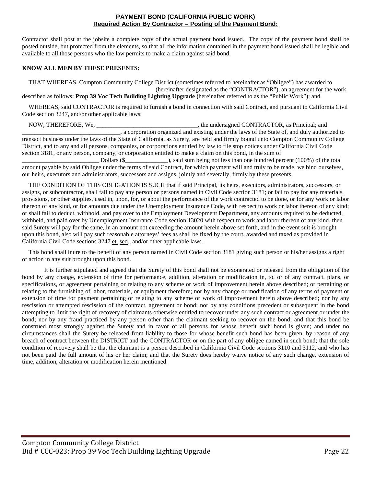#### **PAYMENT BOND (CALIFORNIA PUBLIC WORK) Required Action By Contractor – Posting of the Payment Bond:**

Contractor shall post at the jobsite a complete copy of the actual payment bond issued. The copy of the payment bond shall be posted outside, but protected from the elements, so that all the information contained in the payment bond issued shall be legible and available to all those persons who the law permits to make a claim against said bond.

#### **KNOW ALL MEN BY THESE PRESENTS:**

THAT WHEREAS, Compton Community College District (sometimes referred to hereinafter as "Obligee") has awarded to \_\_\_\_\_\_\_\_\_\_\_\_\_\_\_\_\_\_\_\_\_\_\_\_\_\_\_\_\_\_\_\_\_\_\_\_\_\_\_\_\_\_\_ (hereinafter designated as the "CONTRACTOR"), an agreement for the work described as follows: **Prop 39 Voc Tech Building Lighting Upgrade (**hereinafter referred to as the "Public Work"); and

WHEREAS, said CONTRACTOR is required to furnish a bond in connection with said Contract, and pursuant to California Civil Code section 3247, and/or other applicable laws;

NOW, THEREFORE, We, \_\_\_\_\_\_\_\_\_\_\_\_\_\_\_\_\_\_\_\_\_\_\_\_\_\_\_\_\_\_\_\_\_, the undersigned CONTRACTOR, as Principal; and \_\_\_\_\_\_\_\_\_\_\_\_\_\_\_\_\_\_\_\_\_\_\_\_\_\_\_\_\_\_\_\_, a corporation organized and existing under the laws of the State of, and duly authorized to transact business under the laws of the State of California, as Surety, are held and firmly bound unto Compton Community College District, and to any and all persons, companies, or corporations entitled by law to file stop notices under California Civil Code section 3181, or any person, company, or corporation entitled to make a claim on this bond, in the sum of

\_\_\_\_\_\_\_\_\_\_\_\_\_\_\_\_\_\_\_\_\_\_\_\_\_ Dollars (\$\_\_\_\_\_\_\_\_\_\_\_\_\_\_), said sum being not less than one hundred percent (100%) of the total amount payable by said Obligee under the terms of said Contract, for which payment will and truly to be made, we bind ourselves, our heirs, executors and administrators, successors and assigns, jointly and severally, firmly by these presents.

THE CONDITION OF THIS OBLIGATION IS SUCH that if said Principal, its heirs, executors, administrators, successors, or assigns, or subcontractor, shall fail to pay any person or persons named in Civil Code section 3181; or fail to pay for any materials, provisions, or other supplies, used in, upon, for, or about the performance of the work contracted to be done, or for any work or labor thereon of any kind, or for amounts due under the Unemployment Insurance Code, with respect to work or labor thereon of any kind; or shall fail to deduct, withhold, and pay over to the Employment Development Department, any amounts required to be deducted, withheld, and paid over by Unemployment Insurance Code section 13020 with respect to work and labor thereon of any kind, then said Surety will pay for the same, in an amount not exceeding the amount herein above set forth, and in the event suit is brought upon this bond, also will pay such reasonable attorneys' fees as shall be fixed by the court, awarded and taxed as provided in California Civil Code sections 3247 et. seq., and/or other applicable laws.

This bond shall inure to the benefit of any person named in Civil Code section 3181 giving such person or his/her assigns a right of action in any suit brought upon this bond.

It is further stipulated and agreed that the Surety of this bond shall not be exonerated or released from the obligation of the bond by any change, extension of time for performance, addition, alteration or modification in, to, or of any contract, plans, or specifications, or agreement pertaining or relating to any scheme or work of improvement herein above described; or pertaining or relating to the furnishing of labor, materials, or equipment therefore; nor by any change or modification of any terms of payment or extension of time for payment pertaining or relating to any scheme or work of improvement herein above described; nor by any rescission or attempted rescission of the contract, agreement or bond; nor by any conditions precedent or subsequent in the bond attempting to limit the right of recovery of claimants otherwise entitled to recover under any such contract or agreement or under the bond; nor by any fraud practiced by any person other than the claimant seeking to recover on the bond; and that this bond be construed most strongly against the Surety and in favor of all persons for whose benefit such bond is given; and under no circumstances shall the Surety be released from liability to those for whose benefit such bond has been given, by reason of any breach of contract between the DISTRICT and the CONTRACTOR or on the part of any obligee named in such bond; that the sole condition of recovery shall be that the claimant is a person described in California Civil Code sections 3110 and 3112, and who has not been paid the full amount of his or her claim; and that the Surety does hereby waive notice of any such change, extension of time, addition, alteration or modification herein mentioned.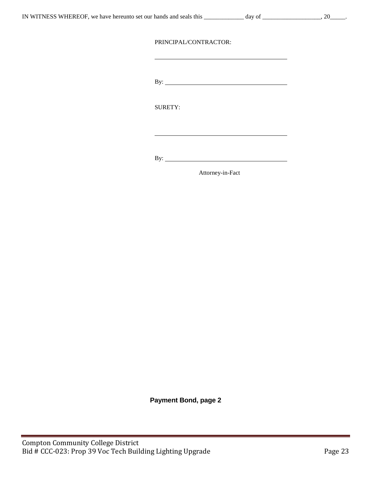By: <u>second</u>

SURETY:

By:

Attorney-in-Fact

**Payment Bond, page 2**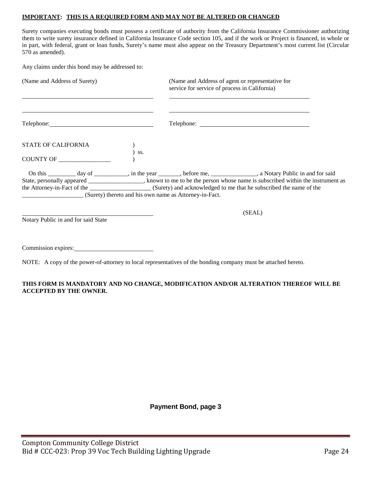#### **IMPORTANT: THIS IS A REQUIRED FORM AND MAY NOT BE ALTERED OR CHANGED**

Surety companies executing bonds must possess a certificate of authority from the California Insurance Commissioner authorizing them to write surety insurance defined in California Insurance Code section 105, and if the work or Project is financed, in whole or in part, with federal, grant or loan funds, Surety's name must also appear on the Treasury Department's most current list (Circular 570 as amended).

Any claims under this bond may be addressed to:

| (Name and Address of Surety)        | (Name and Address of agent or representative for<br>service for service of process in California)                                                                                                                                                                                                                                                                              |
|-------------------------------------|--------------------------------------------------------------------------------------------------------------------------------------------------------------------------------------------------------------------------------------------------------------------------------------------------------------------------------------------------------------------------------|
|                                     |                                                                                                                                                                                                                                                                                                                                                                                |
| <b>STATE OF CALIFORNIA</b><br>SS.   |                                                                                                                                                                                                                                                                                                                                                                                |
| COUNTY OF                           |                                                                                                                                                                                                                                                                                                                                                                                |
|                                     | On this __________ day of ___________, in the year _______, before me, _____________, a Notary Public in and for said<br>State, personally appeared _______________, known to me to be the person whose name is subscribed within the instrument as<br>the Attorney-in-Fact of the _________________________(Surety) and acknowledged to me that he subscribed the name of the |
| Notary Public in and for said State | (SEAL)                                                                                                                                                                                                                                                                                                                                                                         |
| Commission expires:                 |                                                                                                                                                                                                                                                                                                                                                                                |

NOTE: A copy of the power-of-attorney to local representatives of the bonding company must be attached hereto.

#### **THIS FORM IS MANDATORY AND NO CHANGE, MODIFICATION AND/OR ALTERATION THEREOF WILL BE ACCEPTED BY THE OWNER.**

## **Payment Bond, page 3**